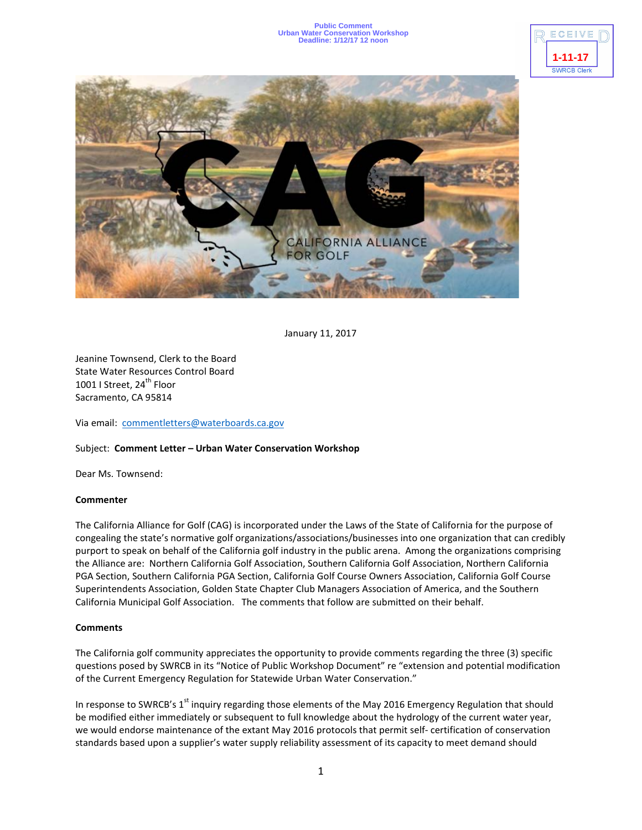## **Public Comment Urban Water Conservation Workshop Deadline: 1/12/17 12 noon**





January 11, 2017

Jeanine Townsend, Clerk to the Board State Water Resources Control Board 1001 I Street, 24<sup>th</sup> Floor Sacramento, CA 95814

Via email: [commentletters@waterboards.ca.gov](mailto:commentletters@waterboards.ca.gov)

## Subject: **Comment Letter – Urban Water Conservation Workshop**

Dear Ms. Townsend:

## **Commenter**

The California Alliance for Golf (CAG) is incorporated under the Laws of the State of California for the purpose of congealing the state's normative golf organizations/associations/businesses into one organization that can credibly purport to speak on behalf of the California golf industry in the public arena. Among the organizations comprising the Alliance are: Northern California Golf Association, Southern California Golf Association, Northern California PGA Section, Southern California PGA Section, California Golf Course Owners Association, California Golf Course Superintendents Association, Golden State Chapter Club Managers Association of America, and the Southern California Municipal Golf Association. The comments that follow are submitted on their behalf.

## **Comments**

The California golf community appreciates the opportunity to provide comments regarding the three (3) specific questions posed by SWRCB in its "Notice of Public Workshop Document" re "extension and potential modification of the Current Emergency Regulation for Statewide Urban Water Conservation."

In response to SWRCB's 1<sup>st</sup> inquiry regarding those elements of the May 2016 Emergency Regulation that should be modified either immediately or subsequent to full knowledge about the hydrology of the current water year, we would endorse maintenance of the extant May 2016 protocols that permit self- certification of conservation standards based upon a supplier's water supply reliability assessment of its capacity to meet demand should